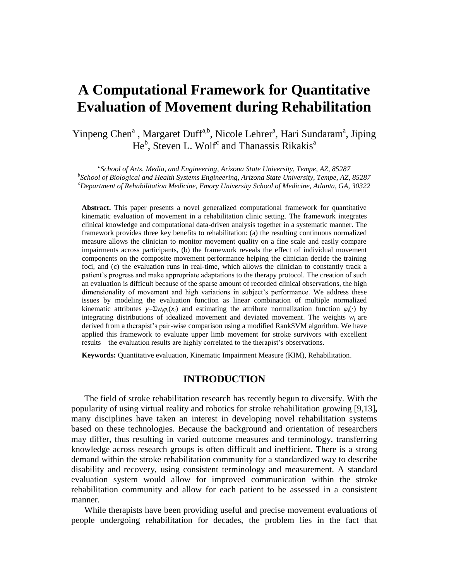# **A Computational Framework for Quantitative Evaluation of Movement during Rehabilitation**

Yinpeng Chen<sup>a</sup>, Margaret Duff<sup>a,b</sup>, Nicole Lehrer<sup>a</sup>, Hari Sundaram<sup>a</sup>, Jiping He<sup>b</sup>, Steven L. Wolf<sup>c</sup> and Thanassis Rikakis<sup>a</sup>

*a School of Arts, Media, and Engineering, Arizona State University, Tempe, AZ, 85287 b School of Biological and Health Systems Engineering, Arizona State University, Tempe, AZ, 85287 <sup>c</sup>Department of Rehabilitation Medicine, Emory University School of Medicine, Atlanta, GA, 30322*

**Abstract.** This paper presents a novel generalized computational framework for quantitative kinematic evaluation of movement in a rehabilitation clinic setting. The framework integrates clinical knowledge and computational data-driven analysis together in a systematic manner. The framework provides three key benefits to rehabilitation: (a) the resulting continuous normalized measure allows the clinician to monitor movement quality on a fine scale and easily compare impairments across participants, (b) the framework reveals the effect of individual movement components on the composite movement performance helping the clinician decide the training foci, and (c) the evaluation runs in real-time, which allows the clinician to constantly track a patient"s progress and make appropriate adaptations to the therapy protocol. The creation of such an evaluation is difficult because of the sparse amount of recorded clinical observations, the high dimensionality of movement and high variations in subject"s performance. We address these issues by modeling the evaluation function as linear combination of multiple normalized kinematic attributes  $y = \sum w_i \varphi_i(x_i)$  and estimating the attribute normalization function  $\varphi_i(\cdot)$  by integrating distributions of idealized movement and deviated movement. The weights  $w_i$  are derived from a therapist's pair-wise comparison using a modified RankSVM algorithm. We have applied this framework to evaluate upper limb movement for stroke survivors with excellent results – the evaluation results are highly correlated to the therapist's observations.

**Keywords:** Quantitative evaluation, Kinematic Impairment Measure (KIM), Rehabilitation.

# **INTRODUCTION**

The field of stroke rehabilitation research has recently begun to diversify. With the popularity of using virtual reality and robotics for stroke rehabilitation growing [\[9](#page-9-0)[,13\]](#page-9-1)**,** many disciplines have taken an interest in developing novel rehabilitation systems based on these technologies. Because the background and orientation of researchers may differ, thus resulting in varied outcome measures and terminology, transferring knowledge across research groups is often difficult and inefficient. There is a strong demand within the stroke rehabilitation community for a standardized way to describe disability and recovery, using consistent terminology and measurement. A standard evaluation system would allow for improved communication within the stroke rehabilitation community and allow for each patient to be assessed in a consistent manner.

While therapists have been providing useful and precise movement evaluations of people undergoing rehabilitation for decades, the problem lies in the fact that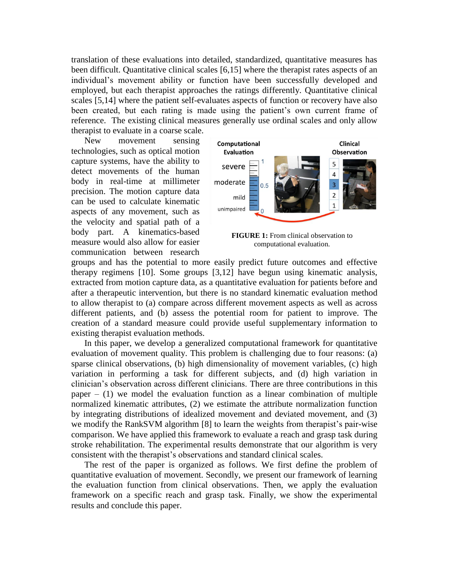translation of these evaluations into detailed, standardized, quantitative measures has been difficult. Quantitative clinical scales [\[6](#page-9-2)[,15\]](#page-9-3) where the therapist rates aspects of an individual"s movement ability or function have been successfully developed and employed, but each therapist approaches the ratings differently. Quantitative clinical scales [\[5](#page-9-4)[,14\]](#page-9-5) where the patient self-evaluates aspects of function or recovery have also been created, but each rating is made using the patient's own current frame of reference. The existing clinical measures generally use ordinal scales and only allow therapist to evaluate in a coarse scale.

New movement sensing technologies, such as optical motion capture systems, have the ability to detect movements of the human body in real-time at millimeter precision. The motion capture data can be used to calculate kinematic aspects of any movement, such as the velocity and spatial path of a body part. A kinematics-based measure would also allow for easier communication between research



**FIGURE 1:** From clinical observation to computational evaluation.

groups and has the potential to more easily predict future outcomes and effective therapy regimens [\[10\]](#page-9-6). Some groups [\[3](#page-9-7)[,12\]](#page-9-8) have begun using kinematic analysis, extracted from motion capture data, as a quantitative evaluation for patients before and after a therapeutic intervention, but there is no standard kinematic evaluation method to allow therapist to (a) compare across different movement aspects as well as across different patients, and (b) assess the potential room for patient to improve. The creation of a standard measure could provide useful supplementary information to existing therapist evaluation methods.

In this paper, we develop a generalized computational framework for quantitative evaluation of movement quality. This problem is challenging due to four reasons: (a) sparse clinical observations, (b) high dimensionality of movement variables, (c) high variation in performing a task for different subjects, and (d) high variation in clinician"s observation across different clinicians. There are three contributions in this paper  $-$  (1) we model the evaluation function as a linear combination of multiple normalized kinematic attributes, (2) we estimate the attribute normalization function by integrating distributions of idealized movement and deviated movement, and (3) we modify the RankSVM algorithm [\[8\]](#page-9-9) to learn the weights from therapist's pair-wise comparison. We have applied this framework to evaluate a reach and grasp task during stroke rehabilitation. The experimental results demonstrate that our algorithm is very consistent with the therapist"s observations and standard clinical scales.

The rest of the paper is organized as follows. We first define the problem of quantitative evaluation of movement. Secondly, we present our framework of learning the evaluation function from clinical observations. Then, we apply the evaluation framework on a specific reach and grasp task. Finally, we show the experimental results and conclude this paper.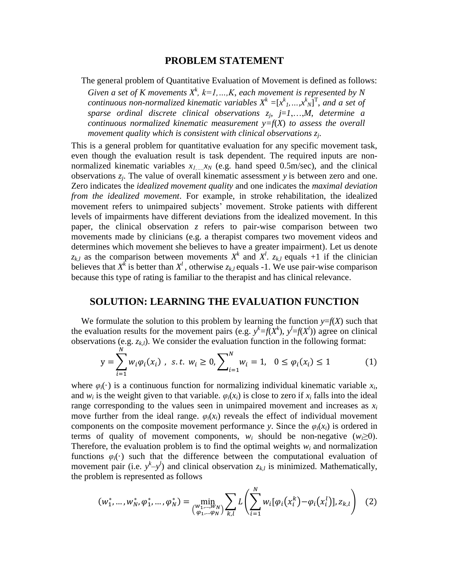## **PROBLEM STATEMENT**

The general problem of Quantitative Evaluation of Movement is defined as follows:

*Given a set of K movements*  $X^k$ ,  $k=1,...,K$ , each movement is represented by N *continuous non-normalized kinematic variables*  $X^k = [x^k_1, ..., x^k_N]^T$ , and a set of *sparse ordinal discrete clinical observations z<sup>j</sup>* , *j*=*1*,…,*M*, *determine a continuous normalized kinematic measurement y=f*(*X*) *to assess the overall movement quality which is consistent with clinical observations z<sup>j</sup>* .

This is a general problem for quantitative evaluation for any specific movement task, even though the evaluation result is task dependent. The required inputs are nonnormalized kinematic variables  $x_{1,\dots,x_N}$  (e.g. hand speed 0.5m/sec), and the clinical observations *z<sup>j</sup>* . The value of overall kinematic assessment *y* is between zero and one. Zero indicates the *idealized movement quality* and one indicates the *maximal deviation from the idealized movement*. For example, in stroke rehabilitation, the idealized movement refers to unimpaired subjects" movement. Stroke patients with different levels of impairments have different deviations from the idealized movement. In this paper, the clinical observation *z* refers to pair-wise comparison between two movements made by clinicians (e.g. a therapist compares two movement videos and determines which movement she believes to have a greater impairment). Let us denote  $z_{k,l}$  as the comparison between movements  $X^k$  and  $X^l$ .  $z_{k,l}$  equals +1 if the clinician believes that  $X^k$  is better than  $X^l$ , otherwise  $z_{k,l}$  equals -1. We use pair-wise comparison because this type of rating is familiar to the therapist and has clinical relevance.

## **SOLUTION: LEARNING THE EVALUATION FUNCTION**

We formulate the solution to this problem by learning the function  $y=f(X)$  such that the evaluation results for the movement pairs (e.g.  $y^k = f(X^k)$ ,  $y^l = f(X^l)$ ) agree on clinical observations (e.g. *zk,l*). We consider the evaluation function in the following format:

$$
y = \sum_{i=1}^{N} w_i \varphi_i(x_i) , \text{ s.t. } w_i \ge 0, \sum_{i=1}^{N} w_i = 1, \quad 0 \le \varphi_i(x_i) \le 1
$$
 (1)

where  $\varphi_i(\cdot)$  is a continuous function for normalizing individual kinematic variable  $x_i$ , and  $w_i$  is the weight given to that variable.  $\varphi_i(x_i)$  is close to zero if  $x_i$  falls into the ideal range corresponding to the values seen in unimpaired movement and increases as  $x_i$ move further from the ideal range.  $\varphi_i(x_i)$  reveals the effect of individual movement components on the composite movement performance *y*. Since the  $\varphi_i(x_i)$  is ordered in terms of quality of movement components,  $w_i$  should be non-negative  $(w_i \geq 0)$ . Therefore, the evaluation problem is to find the optimal weights  $w_i$  and normalization functions  $\varphi_i(\cdot)$  such that the difference between the computational evaluation of movement pair (i.e.  $y^k-y^l$ ) and clinical observation  $z_{k,l}$  is minimized. Mathematically, the problem is represented as follows

$$
(w_1^*, \dots, w_N^*, \varphi_1^*, \dots, \varphi_N^*) = \min_{\substack{(w_1, \dots, w_N) \\ (\varphi_1, \dots, \varphi_N)} \sum_{k,l} L\left(\sum_{i=1}^N w_i [\varphi_i(x_i^k) - \varphi_i(x_i^l)], z_{k,l}\right) \tag{2}
$$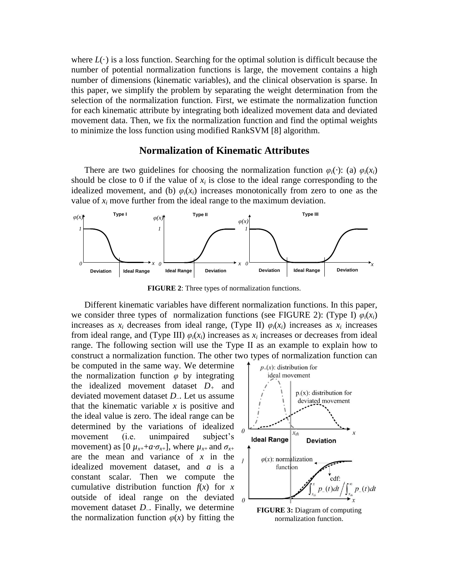where  $L(\cdot)$  is a loss function. Searching for the optimal solution is difficult because the number of potential normalization functions is large, the movement contains a high number of dimensions (kinematic variables), and the clinical observation is sparse. In this paper, we simplify the problem by separating the weight determination from the selection of the normalization function. First, we estimate the normalization function for each kinematic attribute by integrating both idealized movement data and deviated movement data. Then, we fix the normalization function and find the optimal weights to minimize the loss function using modified RankSVM [\[8\]](#page-9-9) algorithm.

# **Normalization of Kinematic Attributes**

There are two guidelines for choosing the normalization function  $\varphi_i(\cdot)$ : (a)  $\varphi_i(x_i)$ should be close to 0 if the value of  $x_i$  is close to the ideal range corresponding to the idealized movement, and (b)  $\varphi_i(x_i)$  increases monotonically from zero to one as the value of  $x_i$  move further from the ideal range to the maximum deviation.



**FIGURE 2**: Three types of normalization functions.

<span id="page-3-0"></span>Different kinematic variables have different normalization functions. In this paper, we consider three types of normalization functions (see [FIGURE 2\)](#page-3-0): (Type I)  $\varphi_i(x_i)$ increases as  $x_i$  decreases from ideal range, (Type II)  $\varphi_i(x_i)$  increases as  $x_i$  increases from ideal range, and (Type III)  $\varphi_i(x_i)$  increases as  $x_i$  increases or decreases from ideal range. The following section will use the Type II as an example to explain how to construct a normalization function. The other two types of normalization function can

be computed in the same way. We determine the normalization function *φ* by integrating the idealized movement dataset *D<sup>+</sup>* and deviated movement dataset *D*–. Let us assume that the kinematic variable *x* is positive and the ideal value is zero. The ideal range can be determined by the variations of idealized movement (i.e. unimpaired subject's movement) as  $[0 \mu_{x+} + a \cdot \sigma_{x+}]$ , where  $\mu_{x+}$  and  $\sigma_{x+}$ are the mean and variance of *x* in the idealized movement dataset, and *a* is a constant scalar. Then we compute the cumulative distribution function  $f(x)$  for *x* outside of ideal range on the deviated movement dataset *D*–. Finally, we determine the normalization function  $\varphi(x)$  by fitting the



<span id="page-3-1"></span>**FIGURE 3:** Diagram of computing normalization function.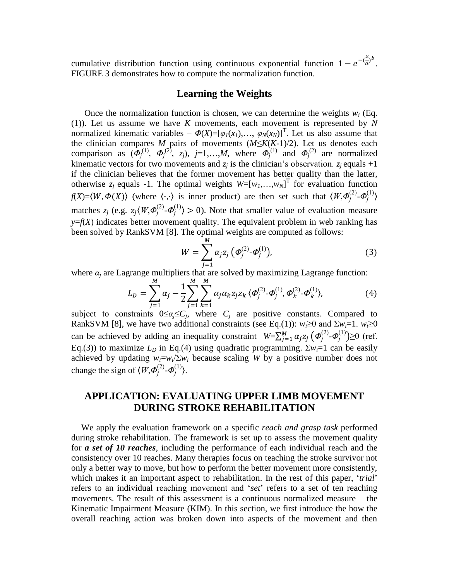cumulative distribution function using continuous exponential function  $1 - e^{-\left(\frac{x}{a}\right)}$  $\frac{x}{a}$ <sup>b</sup>. [FIGURE 3](#page-3-1) demonstrates how to compute the normalization function.

# **Learning the Weights**

Once the normalization function is chosen, we can determine the weights  $w_i$  (Eq. (1)). Let us assume we have *K* movements, each movement is represented by *N* normalized kinematic variables –  $\Phi(X) = [\varphi_1(x_1), \ldots, \varphi_N(x_N)]^T$ . Let us also assume that the clinician compares *M* pairs of movements (*M*≤*K*(*K*-1)/2). Let us denotes each comparison as  $(\Phi_j^{(1)}, \Phi_j^{(2)}, z_j)$ ,  $j=1,...,M$ , where  $\Phi_j^{(1)}$  and  $\Phi_j^{(2)}$  are normalized kinematic vectors for two movements and  $z_i$  is the clinician's observation.  $z_i$  equals +1 if the clinician believes that the former movement has better quality than the latter, otherwise  $z_j$  equals -1. The optimal weights  $W=[w_1,...,w_N]^T$  for evaluation function *f*(*X*)= $\langle W, \Phi(X) \rangle$  (where  $\langle \cdot, \cdot \rangle$  is inner product) are then set such that  $\langle W, \Phi_j^{(2)} \cdot \Phi_j^{(1)} \rangle$ matches  $z_j$  (e.g.  $z_j \langle W, \Phi_j^{(2)} \cdot \Phi_j^{(1)} \rangle > 0$ ). Note that smaller value of evaluation measure  $y=f(X)$  indicates better movement quality. The equivalent problem in web ranking has been solved by RankSVM [\[8\]](#page-9-9). The optimal weights are computed as follows:

$$
W = \sum_{j=1}^{M} \alpha_j z_j \left( \varPhi_j^{(2)} \cdot \varPhi_j^{(1)} \right), \tag{3}
$$

where  $a_j$  are Lagrange multipliers that are solved by maximizing Lagrange function:

$$
L_D = \sum_{j=1}^{M} \alpha_j - \frac{1}{2} \sum_{j=1}^{M} \sum_{k=1}^{M} \alpha_j \alpha_k z_j z_k \langle \Phi_j^{(2)} \cdot \Phi_j^{(1)}, \Phi_k^{(2)} \cdot \Phi_k^{(1)} \rangle, \tag{4}
$$

subject to constraints  $0 \leq a_j \leq C_j$ , where  $C_j$  are positive constants. Compared to RankSVM [\[8\]](#page-9-9), we have two additional constraints (see Eq.(1)):  $w_i \ge 0$  and  $\sum w_i = 1$ .  $w_i \ge 0$ can be achieved by adding an inequality constraint  $W = \sum_{j=1}^{M} \alpha_j z_j \left( \Phi_j^{(2)} \cdot \Phi_j^{(1)} \right) \ge 0$  (ref. Eq.(3)) to maximize  $L<sub>D</sub>$  in Eq.(4) using quadratic programming.  $\Sigma w_i = 1$  can be easily achieved by updating  $w_i = w_i / \sum w_i$  because scaling *W* by a positive number does not change the sign of  $\langle W, \Phi_j^{(2)} \cdot \Phi_j^{(1)} \rangle$ .

# **APPLICATION: EVALUATING UPPER LIMB MOVEMENT DURING STROKE REHABILITATION**

We apply the evaluation framework on a specific *reach and grasp task* performed during stroke rehabilitation. The framework is set up to assess the movement quality for *a set of 10 reaches*, including the performance of each individual reach and the consistency over 10 reaches. Many therapies focus on teaching the stroke survivor not only a better way to move, but how to perform the better movement more consistently, which makes it an important aspect to rehabilitation. In the rest of this paper, *'trial'* refers to an individual reaching movement and "*set*" refers to a set of ten reaching movements. The result of this assessment is a continuous normalized measure – the Kinematic Impairment Measure (KIM). In this section, we first introduce the how the overall reaching action was broken down into aspects of the movement and then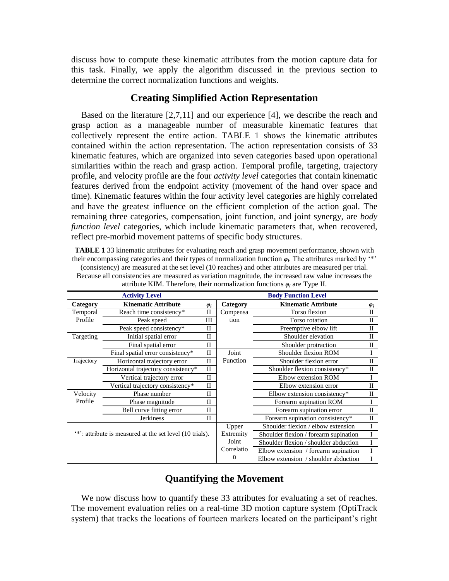discuss how to compute these kinematic attributes from the motion capture data for this task. Finally, we apply the algorithm discussed in the previous section to determine the correct normalization functions and weights.

# **Creating Simplified Action Representation**

Based on the literature [\[2,](#page-9-10)[7,](#page-9-11)[11\]](#page-9-12) and our experience [\[4\]](#page-9-13), we describe the reach and grasp action as a manageable number of measurable kinematic features that collectively represent the entire action. [TABLE 1](#page-5-0) shows the kinematic attributes contained within the action representation. The action representation consists of 33 kinematic features, which are organized into seven categories based upon operational similarities within the reach and grasp action. Temporal profile, targeting, trajectory profile, and velocity profile are the four *activity level* categories that contain kinematic features derived from the endpoint activity (movement of the hand over space and time). Kinematic features within the four activity level categories are highly correlated and have the greatest influence on the efficient completion of the action goal. The remaining three categories, compensation, joint function, and joint synergy, are *body function level* categories, which include kinematic parameters that, when recovered, reflect pre-morbid movement patterns of specific body structures.

<span id="page-5-0"></span>**TABLE 1** 33 kinematic attributes for evaluating reach and grasp movement performance, shown with their encompassing categories and their types of normalization function  $\varphi_i$ . The attributes marked by "\*" (consistency) are measured at the set level (10 reaches) and other attributes are measured per trial. Because all consistencies are measured as variation magnitude, the increased raw value increases the attribute KIM. Therefore, their normalization functions *φ<sup>i</sup>* are Type II.

|                                                         | <b>Activity Level</b>              | <b>Body Function Level</b> |            |                                       |              |
|---------------------------------------------------------|------------------------------------|----------------------------|------------|---------------------------------------|--------------|
| Category                                                | <b>Kinematic Attribute</b>         | $\varphi_i$                | Category   | <b>Kinematic Attribute</b>            | $\varphi_i$  |
| Temporal                                                | Reach time consistency*            | П                          | Compensa   | Torso flexion                         | $\Pi$        |
| Profile                                                 | Peak speed                         | Ш                          | tion       | Torso rotation                        | Н            |
|                                                         | Peak speed consistency*            | П                          |            | Preemptive elbow lift                 | H            |
| Targeting                                               | Initial spatial error              | П                          |            | Shoulder elevation                    | H            |
|                                                         | Final spatial error                | П                          |            | Shoulder protraction                  | $_{\rm II}$  |
|                                                         | Final spatial error consistency*   | П                          | Joint      | Shoulder flexion ROM                  |              |
| Trajectory                                              | Horizontal trajectory error        | П                          | Function   | Shoulder flexion error                | H            |
|                                                         | Horizontal trajectory consistency* | $\Pi$                      |            | Shoulder flexion consistency*         | $_{\rm II}$  |
|                                                         | Vertical trajectory error          | П                          |            | Elbow extension ROM                   | Ι            |
|                                                         | Vertical trajectory consistency*   | $\mathbf{I}$               |            | Elbow extension error                 | $\mathbf{I}$ |
| Velocity                                                | Phase number                       | П                          |            | Elbow extension consistency*          | H            |
| Profile                                                 | Phase magnitude                    | П                          |            | Forearm supination ROM                | I            |
|                                                         | Bell curve fitting error           | П                          |            | Forearm supination error              | П            |
|                                                         | <b>Jerkiness</b>                   | П                          |            | Forearm supination consistency*       | $\Pi$        |
|                                                         |                                    |                            | Upper      | Shoulder flexion / elbow extension    | T            |
| **: attribute is measured at the set level (10 trials). |                                    |                            | Extremity  | Shoulder flexion / forearm supination | I            |
|                                                         |                                    |                            | Joint      | Shoulder flexion / shoulder abduction |              |
|                                                         |                                    |                            | Correlatio | Elbow extension / forearm supination  |              |
|                                                         |                                    |                            | n          | Elbow extension / shoulder abduction  |              |

# **Quantifying the Movement**

We now discuss how to quantify these 33 attributes for evaluating a set of reaches. The movement evaluation relies on a real-time 3D motion capture system (OptiTrack system) that tracks the locations of fourteen markers located on the participant's right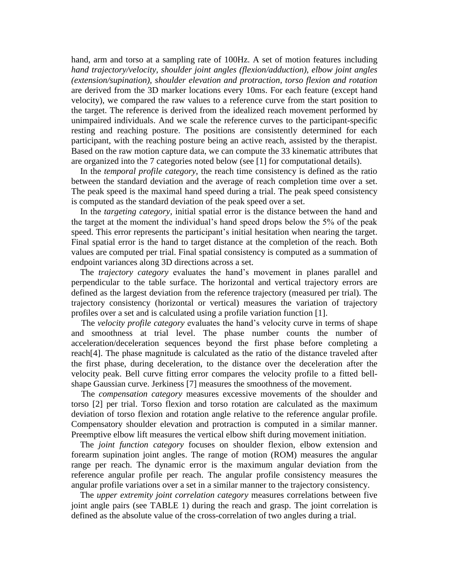hand, arm and torso at a sampling rate of 100Hz. A set of motion features including *hand trajectory/velocity, shoulder joint angles (flexion/adduction), elbow joint angles (extension/supination), shoulder elevation and protraction, torso flexion and rotation* are derived from the 3D marker locations every 10ms. For each feature (except hand velocity), we compared the raw values to a reference curve from the start position to the target. The reference is derived from the idealized reach movement performed by unimpaired individuals. And we scale the reference curves to the participant-specific resting and reaching posture. The positions are consistently determined for each participant, with the reaching posture being an active reach, assisted by the therapist. Based on the raw motion capture data, we can compute the 33 kinematic attributes that are organized into the 7 categories noted below (see [\[1\]](#page-9-14) for computational details).

In the *temporal profile category*, the reach time consistency is defined as the ratio between the standard deviation and the average of reach completion time over a set. The peak speed is the maximal hand speed during a trial. The peak speed consistency is computed as the standard deviation of the peak speed over a set.

In the *targeting category*, initial spatial error is the distance between the hand and the target at the moment the individual"s hand speed drops below the 5% of the peak speed. This error represents the participant's initial hesitation when nearing the target. Final spatial error is the hand to target distance at the completion of the reach. Both values are computed per trial. Final spatial consistency is computed as a summation of endpoint variances along 3D directions across a set.

The *trajectory category* evaluates the hand"s movement in planes parallel and perpendicular to the table surface. The horizontal and vertical trajectory errors are defined as the largest deviation from the reference trajectory (measured per trial). The trajectory consistency (horizontal or vertical) measures the variation of trajectory profiles over a set and is calculated using a profile variation function [\[1\]](#page-9-14).

The *velocity profile category* evaluates the hand"s velocity curve in terms of shape and smoothness at trial level. The phase number counts the number of acceleration/deceleration sequences beyond the first phase before completing a reach[\[4\]](#page-9-13). The phase magnitude is calculated as the ratio of the distance traveled after the first phase, during deceleration, to the distance over the deceleration after the velocity peak. Bell curve fitting error compares the velocity profile to a fitted bellshape Gaussian curve. Jerkiness [\[7\]](#page-9-11) measures the smoothness of the movement.

The *compensation category* measures excessive movements of the shoulder and torso [\[2\]](#page-9-10) per trial. Torso flexion and torso rotation are calculated as the maximum deviation of torso flexion and rotation angle relative to the reference angular profile. Compensatory shoulder elevation and protraction is computed in a similar manner. Preemptive elbow lift measures the vertical elbow shift during movement initiation.

The *joint function category* focuses on shoulder flexion, elbow extension and forearm supination joint angles. The range of motion (ROM) measures the angular range per reach. The dynamic error is the maximum angular deviation from the reference angular profile per reach. The angular profile consistency measures the angular profile variations over a set in a similar manner to the trajectory consistency.

The *upper extremity joint correlation category* measures correlations between five joint angle pairs (see [TABLE 1\)](#page-5-0) during the reach and grasp. The joint correlation is defined as the absolute value of the cross-correlation of two angles during a trial.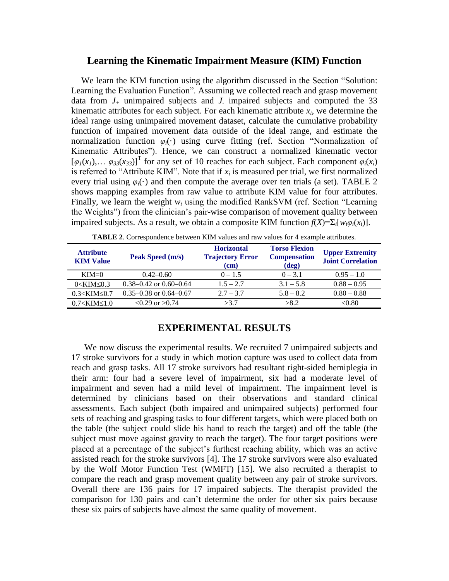### **Learning the Kinematic Impairment Measure (KIM) Function**

We learn the KIM function using the algorithm discussed in the Section "Solution: Learning the Evaluation Function". Assuming we collected reach and grasp movement data from  $J_+$  unimpaired subjects and  $J_-$  impaired subjects and computed the 33 kinematic attributes for each subject. For each kinematic attribute  $x_i$ , we determine the ideal range using unimpaired movement dataset, calculate the cumulative probability function of impaired movement data outside of the ideal range, and estimate the normalization function *φi*(·) using curve fitting (ref. Section "Normalization of Kinematic Attributes"). Hence, we can construct a normalized kinematic vector  $[\varphi_1(x_1), \ldots \varphi_{33}(x_{33})]^T$  for any set of 10 reaches for each subject. Each component  $\varphi_i(x_i)$ is referred to "Attribute KIM". Note that if  $x_i$  is measured per trial, we first normalized every trial using  $\varphi_i(\cdot)$  and then compute the average over ten trials (a set). [TABLE 2](#page-7-0) shows mapping examples from raw value to attribute KIM value for four attributes. Finally, we learn the weight *w<sup>i</sup>* using the modified RankSVM (ref. Section "Learning the Weights") from the clinician"s pair-wise comparison of movement quality between impaired subjects. As a result, we obtain a composite KIM function  $f(X) = \sum_i [w_i \varphi_i(x_i)].$ 

<span id="page-7-0"></span>

| <b>Attribute</b><br><b>KIM Value</b> | Peak Speed (m/s)               | <b>Horizontal</b><br><b>Trajectory Error</b><br>(cm) | <b>Torso Flexion</b><br><b>Compensation</b><br>$(\text{deg})$ | <b>Upper Extremity</b><br><b>Joint Correlation</b> |
|--------------------------------------|--------------------------------|------------------------------------------------------|---------------------------------------------------------------|----------------------------------------------------|
| $KIM=0$                              | $0.42 - 0.60$                  | $0 - 1.5$                                            | $0 - 3.1$                                                     | $0.95 - 1.0$                                       |
| $0 < KIM \leq 0.3$                   | $0.38 - 0.42$ or $0.60 - 0.64$ | $1.5 - 2.7$                                          | $3.1 - 5.8$                                                   | $0.88 - 0.95$                                      |
| $0.3 < KIM \leq 0.7$                 | $0.35 - 0.38$ or $0.64 - 0.67$ | $2.7 - 3.7$                                          | $5.8 - 8.2$                                                   | $0.80 - 0.88$                                      |
| $0.7 <$ KIM $\leq 1.0$               | $< 0.29$ or $> 0.74$           | >3.7                                                 | >8.2                                                          | < 0.80                                             |

**TABLE 2**. Correspondence between KIM values and raw values for 4 example attributes.

# **EXPERIMENTAL RESULTS**

We now discuss the experimental results. We recruited 7 unimpaired subjects and 17 stroke survivors for a study in which motion capture was used to collect data from reach and grasp tasks. All 17 stroke survivors had resultant right-sided hemiplegia in their arm: four had a severe level of impairment, six had a moderate level of impairment and seven had a mild level of impairment. The impairment level is determined by clinicians based on their observations and standard clinical assessments. Each subject (both impaired and unimpaired subjects) performed four sets of reaching and grasping tasks to four different targets, which were placed both on the table (the subject could slide his hand to reach the target) and off the table (the subject must move against gravity to reach the target). The four target positions were placed at a percentage of the subject"s furthest reaching ability, which was an active assisted reach for the stroke survivors [\[4\]](#page-9-13). The 17 stroke survivors were also evaluated by the Wolf Motor Function Test (WMFT) [\[15\]](#page-9-3). We also recruited a therapist to compare the reach and grasp movement quality between any pair of stroke survivors. Overall there are 136 pairs for 17 impaired subjects. The therapist provided the comparison for 130 pairs and can"t determine the order for other six pairs because these six pairs of subjects have almost the same quality of movement.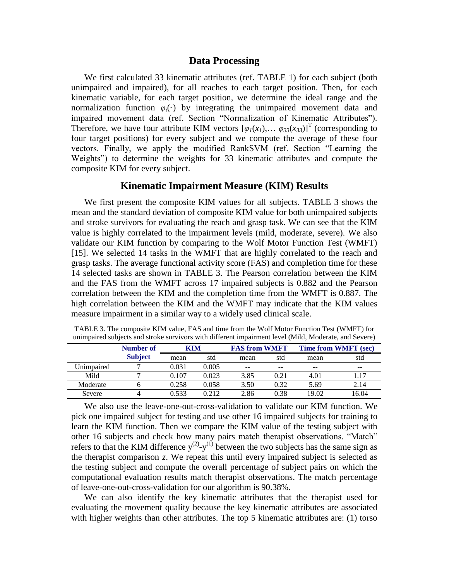#### **Data Processing**

We first calculated 33 kinematic attributes (ref. [TABLE 1\)](#page-5-0) for each subject (both unimpaired and impaired), for all reaches to each target position. Then, for each kinematic variable, for each target position, we determine the ideal range and the normalization function  $\varphi_i(\cdot)$  by integrating the unimpaired movement data and impaired movement data (ref. Section "Normalization of Kinematic Attributes"). Therefore, we have four attribute KIM vectors  $[\varphi_1(x_1), \dots \varphi_{33}(x_{33})]^T$  (corresponding to four target positions) for every subject and we compute the average of these four vectors. Finally, we apply the modified RankSVM (ref. Section "Learning the Weights") to determine the weights for 33 kinematic attributes and compute the composite KIM for every subject.

## **Kinematic Impairment Measure (KIM) Results**

We first present the composite KIM values for all subjects. [TABLE](#page-8-0) 3 shows the mean and the standard deviation of composite KIM value for both unimpaired subjects and stroke survivors for evaluating the reach and grasp task. We can see that the KIM value is highly correlated to the impairment levels (mild, moderate, severe). We also validate our KIM function by comparing to the Wolf Motor Function Test (WMFT) [\[15\]](#page-9-3). We selected 14 tasks in the WMFT that are highly correlated to the reach and grasp tasks. The average functional activity score (FAS) and completion time for these 14 selected tasks are shown in [TABLE](#page-8-0) 3. The Pearson correlation between the KIM and the FAS from the WMFT across 17 impaired subjects is 0.882 and the Pearson correlation between the KIM and the completion time from the WMFT is 0.887. The high correlation between the KIM and the WMFT may indicate that the KIM values measure impairment in a similar way to a widely used clinical scale.

|            | <b>Number of</b> | KIM   |       | <b>FAS from WMFT</b> |       | <b>Time from WMFT</b> (sec) |       |
|------------|------------------|-------|-------|----------------------|-------|-----------------------------|-------|
|            | <b>Subject</b>   | mean  | std   | mean                 | std   | mean                        | std   |
| Unimpaired |                  | 0.031 | 0.005 | $- -$                | $- -$ | $- -$                       | $- -$ |
| Mild       |                  | 0.107 | 0.023 | 3.85                 | 0.21  | 4.01                        | 1.17  |
| Moderate   |                  | 0.258 | 0.058 | 3.50                 | 0.32  | 5.69                        | 2.14  |
| Severe     |                  | 0.533 | 0.212 | 2.86                 | 0.38  | 19.02                       | 16.04 |

<span id="page-8-0"></span>TABLE 3. The composite KIM value, FAS and time from the Wolf Motor Function Test (WMFT) for unimpaired subjects and stroke survivors with different impairment level (Mild, Moderate, and Severe)

We also use the leave-one-out-cross-validation to validate our KIM function. We pick one impaired subject for testing and use other 16 impaired subjects for training to learn the KIM function. Then we compare the KIM value of the testing subject with other 16 subjects and check how many pairs match therapist observations. "Match" refers to that the KIM difference  $y^{(2)}$ - $y^{(1)}$  between the two subjects has the same sign as the therapist comparison *z*. We repeat this until every impaired subject is selected as the testing subject and compute the overall percentage of subject pairs on which the computational evaluation results match therapist observations. The match percentage of leave-one-out-cross-validation for our algorithm is 90.38%.

We can also identify the key kinematic attributes that the therapist used for evaluating the movement quality because the key kinematic attributes are associated with higher weights than other attributes. The top 5 kinematic attributes are: (1) torso